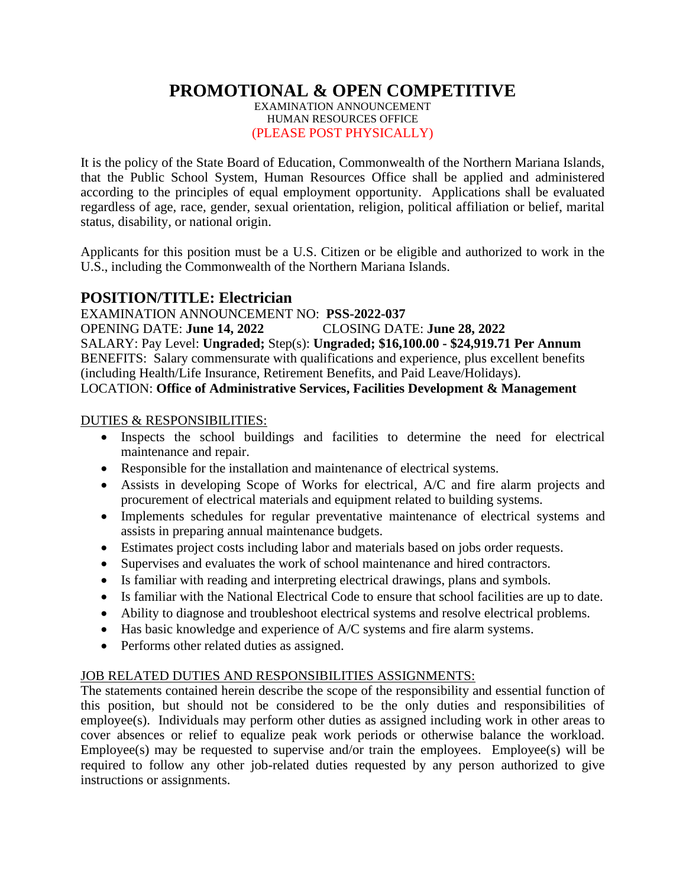**PROMOTIONAL & OPEN COMPETITIVE**

EXAMINATION ANNOUNCEMENT HUMAN RESOURCES OFFICE (PLEASE POST PHYSICALLY)

It is the policy of the State Board of Education, Commonwealth of the Northern Mariana Islands, that the Public School System, Human Resources Office shall be applied and administered according to the principles of equal employment opportunity. Applications shall be evaluated regardless of age, race, gender, sexual orientation, religion, political affiliation or belief, marital status, disability, or national origin.

Applicants for this position must be a U.S. Citizen or be eligible and authorized to work in the U.S., including the Commonwealth of the Northern Mariana Islands.

# **POSITION/TITLE: Electrician**

EXAMINATION ANNOUNCEMENT NO: **PSS-2022-037** OPENING DATE: **June 14, 2022** CLOSING DATE: **June 28, 2022** SALARY: Pay Level: **Ungraded;** Step(s): **Ungraded; \$16,100.00 - \$24,919.71 Per Annum** BENEFITS: Salary commensurate with qualifications and experience, plus excellent benefits (including Health/Life Insurance, Retirement Benefits, and Paid Leave/Holidays). LOCATION: **Office of Administrative Services, Facilities Development & Management**

#### DUTIES & RESPONSIBILITIES:

- Inspects the school buildings and facilities to determine the need for electrical maintenance and repair.
- Responsible for the installation and maintenance of electrical systems.
- Assists in developing Scope of Works for electrical, A/C and fire alarm projects and procurement of electrical materials and equipment related to building systems.
- Implements schedules for regular preventative maintenance of electrical systems and assists in preparing annual maintenance budgets.
- Estimates project costs including labor and materials based on jobs order requests.
- Supervises and evaluates the work of school maintenance and hired contractors.
- Is familiar with reading and interpreting electrical drawings, plans and symbols.
- Is familiar with the National Electrical Code to ensure that school facilities are up to date.
- Ability to diagnose and troubleshoot electrical systems and resolve electrical problems.
- Has basic knowledge and experience of A/C systems and fire alarm systems.
- Performs other related duties as assigned.

## JOB RELATED DUTIES AND RESPONSIBILITIES ASSIGNMENTS:

The statements contained herein describe the scope of the responsibility and essential function of this position, but should not be considered to be the only duties and responsibilities of employee(s). Individuals may perform other duties as assigned including work in other areas to cover absences or relief to equalize peak work periods or otherwise balance the workload. Employee(s) may be requested to supervise and/or train the employees. Employee(s) will be required to follow any other job-related duties requested by any person authorized to give instructions or assignments.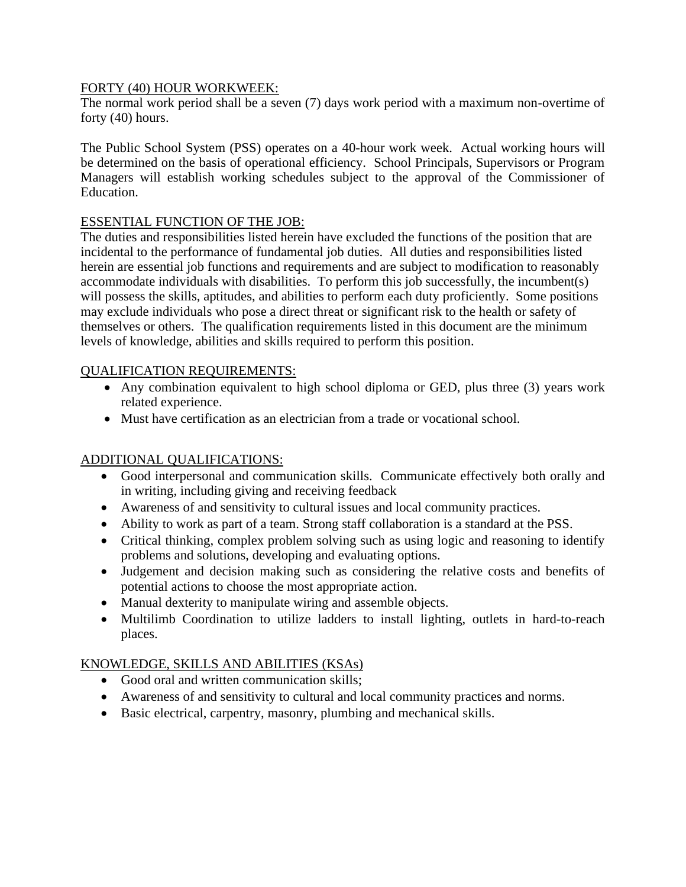### FORTY (40) HOUR WORKWEEK:

The normal work period shall be a seven (7) days work period with a maximum non-overtime of forty (40) hours.

The Public School System (PSS) operates on a 40-hour work week. Actual working hours will be determined on the basis of operational efficiency. School Principals, Supervisors or Program Managers will establish working schedules subject to the approval of the Commissioner of Education.

### ESSENTIAL FUNCTION OF THE JOB:

The duties and responsibilities listed herein have excluded the functions of the position that are incidental to the performance of fundamental job duties. All duties and responsibilities listed herein are essential job functions and requirements and are subject to modification to reasonably accommodate individuals with disabilities. To perform this job successfully, the incumbent(s) will possess the skills, aptitudes, and abilities to perform each duty proficiently. Some positions may exclude individuals who pose a direct threat or significant risk to the health or safety of themselves or others. The qualification requirements listed in this document are the minimum levels of knowledge, abilities and skills required to perform this position.

### QUALIFICATION REQUIREMENTS:

- Any combination equivalent to high school diploma or GED, plus three (3) years work related experience.
- Must have certification as an electrician from a trade or vocational school.

# ADDITIONAL QUALIFICATIONS:

- Good interpersonal and communication skills. Communicate effectively both orally and in writing, including giving and receiving feedback
- Awareness of and sensitivity to cultural issues and local community practices.
- Ability to work as part of a team. Strong staff collaboration is a standard at the PSS.
- Critical thinking, complex problem solving such as using logic and reasoning to identify problems and solutions, developing and evaluating options.
- Judgement and decision making such as considering the relative costs and benefits of potential actions to choose the most appropriate action.
- Manual dexterity to manipulate wiring and assemble objects.
- Multilimb Coordination to utilize ladders to install lighting, outlets in hard-to-reach places.

## KNOWLEDGE, SKILLS AND ABILITIES (KSAs)

- Good oral and written communication skills:
- Awareness of and sensitivity to cultural and local community practices and norms.
- Basic electrical, carpentry, masonry, plumbing and mechanical skills.